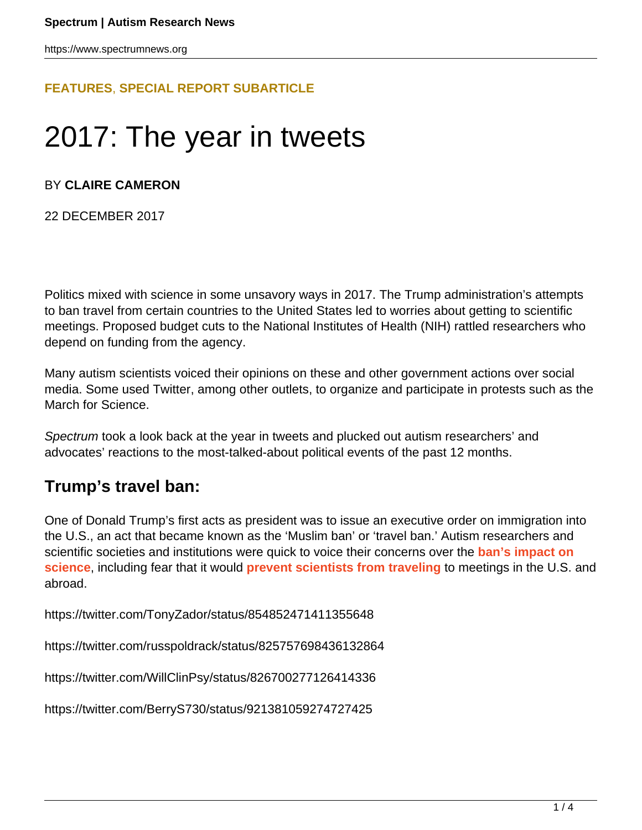## **[FEATURES](HTTPS://WWW.SPECTRUMNEWS.ORG/FEATURES/)**, **[SPECIAL REPORT SUBARTICLE](HTTPS://WWW.SPECTRUMNEWS.ORG/FEATURES/SPECIAL-REPORT/)**

# 2017: The year in tweets

### BY **CLAIRE CAMERON**

22 DECEMBER 2017

Politics mixed with science in some unsavory ways in 2017. The Trump administration's attempts to ban travel from certain countries to the United States led to worries about getting to scientific meetings. Proposed budget cuts to the National Institutes of Health (NIH) rattled researchers who depend on funding from the agency.

Many autism scientists voiced their opinions on these and other government actions over social media. Some used Twitter, among other outlets, to organize and participate in protests such as the March for Science.

Spectrum took a look back at the year in tweets and plucked out autism researchers' and advocates' reactions to the most-talked-about political events of the past 12 months.

## **Trump's travel ban:**

One of Donald Trump's first acts as president was to issue an executive order on immigration into the U.S., an act that became known as the 'Muslim ban' or 'travel ban.' Autism researchers and scientific societies and institutions were quick to voice their concerns over the **[ban's impact on](https://www.spectrumnews.org/opinion/viewpoint/trumps-travel-ban-can-upend-lives-scientists-like/) [science](https://www.spectrumnews.org/opinion/viewpoint/trumps-travel-ban-can-upend-lives-scientists-like/)**, including fear that it would **[prevent scientists from traveling](https://www.spectrumnews.org/news/despite-fears-autism-researchers-arrive-u-s-global-conference/)** to meetings in the U.S. and abroad.

https://twitter.com/TonyZador/status/854852471411355648

https://twitter.com/russpoldrack/status/825757698436132864

https://twitter.com/WillClinPsy/status/826700277126414336

https://twitter.com/BerryS730/status/921381059274727425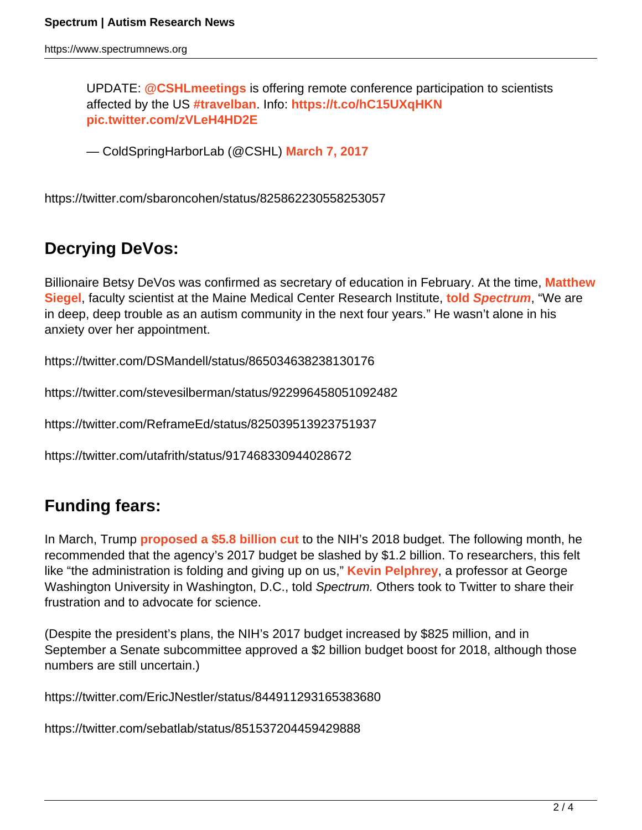UPDATE: **[@CSHLmeetings](https://twitter.com/cshlmeetings?ref_src=twsrc%5Etfw)** is offering remote conference participation to scientists affected by the US **[#travelban](https://twitter.com/hashtag/travelban?src=hash&ref_src=twsrc%5Etfw)**. Info: **<https://t.co/hC15UXqHKN> [pic.twitter.com/zVLeH4HD2E](https://t.co/zVLeH4HD2E)**

— ColdSpringHarborLab (@CSHL) **[March 7, 2017](https://twitter.com/CSHL/status/839220101161357312?ref_src=twsrc%5Etfw)**

https://twitter.com/sbaroncohen/status/825862230558253057

# **Decrying DeVos:**

Billionaire Betsy DeVos was confirmed as secretary of education in February. At the time, **[Matthew](https://www.spectrumnews.org/author/matthewsiegel/) [Siegel](https://www.spectrumnews.org/author/matthewsiegel/)**, faculty scientist at the Maine Medical Center Research Institute, **[told](https://www.spectrumnews.org/news/pick-u-s-education-secretary-rankles-autism-community/) [Spectrum](https://www.spectrumnews.org/news/pick-u-s-education-secretary-rankles-autism-community/)**, "We are in deep, deep trouble as an autism community in the next four years." He wasn't alone in his anxiety over her appointment.

https://twitter.com/DSMandell/status/865034638238130176

https://twitter.com/stevesilberman/status/922996458051092482

https://twitter.com/ReframeEd/status/825039513923751937

https://twitter.com/utafrith/status/917468330944028672

# **Funding fears:**

In March, Trump **[proposed a \\$5.8 billion cut](https://www.spectrumnews.org/news/autism-researchers-blast-budget-cuts-for-u-s-federal-funding-agency/)** to the NIH's 2018 budget. The following month, he recommended that the agency's 2017 budget be slashed by \$1.2 billion. To researchers, this felt like "the administration is folding and giving up on us," **[Kevin Pelphrey](https://autism.gwu.edu/kevin-pelphrey)**, a professor at George Washington University in Washington, D.C., told Spectrum. Others took to Twitter to share their frustration and to advocate for science.

(Despite the president's plans, the NIH's 2017 budget increased by \$825 million, and in September a Senate subcommittee approved a \$2 billion budget boost for 2018, although those numbers are still uncertain.)

https://twitter.com/EricJNestler/status/844911293165383680

https://twitter.com/sebatlab/status/851537204459429888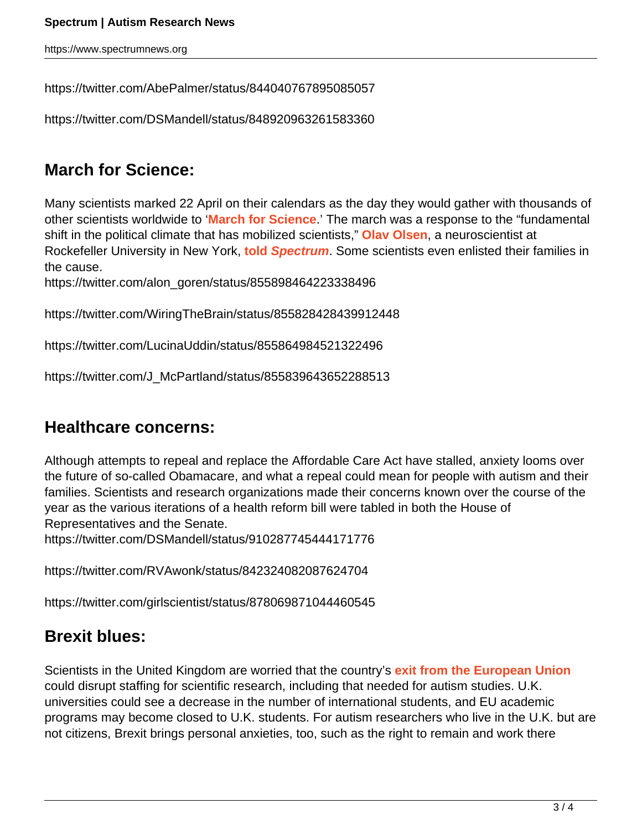https://www.spectrumnews.org

https://twitter.com/AbePalmer/status/844040767895085057

```
https://twitter.com/DSMandell/status/848920963261583360
```
# **March for Science:**

Many scientists marked 22 April on their calendars as the day they would gather with thousands of other scientists worldwide to '**[March for Science](https://www.spectrumnews.org/opinion/viewpoint/why-i-want-to-march-for-science/)**.' The march was a response to the "fundamental shift in the political climate that has mobilized scientists," **[Olav Olsen](http://lab.rockefeller.edu/tessier-lavigne/members)**, a neuroscientist at Rockefeller University in New York, **[told](https://www.spectrumnews.org/news/researchers-take-streets-historic-march-science/) [Spectrum](https://www.spectrumnews.org/news/researchers-take-streets-historic-march-science/)**. Some scientists even enlisted their families in the cause.

https://twitter.com/alon\_goren/status/855898464223338496

https://twitter.com/WiringTheBrain/status/855828428439912448

https://twitter.com/LucinaUddin/status/855864984521322496

https://twitter.com/J\_McPartland/status/855839643652288513

# **Healthcare concerns:**

Although attempts to repeal and replace the Affordable Care Act have stalled, anxiety looms over the future of so-called Obamacare, and what a repeal could mean for people with autism and their families. Scientists and research organizations made their concerns known over the course of the year as the various iterations of a health reform bill were tabled in both the House of Representatives and the Senate.

https://twitter.com/DSMandell/status/910287745444171776

https://twitter.com/RVAwonk/status/842324082087624704

https://twitter.com/girlscientist/status/878069871044460545

# **Brexit blues:**

Scientists in the United Kingdom are worried that the country's **[exit from the European Union](https://www.spectrumnews.org/news/brexit-threatens-collaborations-funding-autism-scientists/)** could disrupt staffing for scientific research, including that needed for autism studies. U.K. universities could see a decrease in the number of international students, and EU academic programs may become closed to U.K. students. For autism researchers who live in the U.K. but are not citizens, Brexit brings personal anxieties, too, such as the right to remain and work there